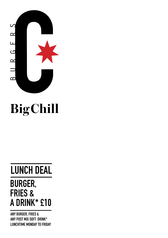

# BigChill

### **BURGER, FRIES & A DRINK\* £10 LUNCH DEAL**

**ANY BURGER, FRIES & ANY POST MIX SOFT DRINK\* LUNCHTIME MONDAY TO FRIDAY**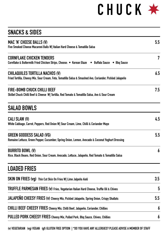## **C H U C K**

| <b>SNACKS &amp; SIDES</b>                                                                                                                          |                  |
|----------------------------------------------------------------------------------------------------------------------------------------------------|------------------|
| MAC 'N' CHEESE BALLS (V)<br>Five Smoked Cheese Macaroni Balls W  Italian Hard Cheese & Tomatillo Salsa                                             | 5.5              |
| <b>CORNFLAKE CHICKEN TENDERS</b><br>Cornflake & Buttermilk Fried Chicken Strips, Choose: • Korean Glaze • Buffalo Sauce • Bbq Sauce                | 7                |
| <b>CHILAQUILES TORTILLA NACHOS (V)</b><br>Fried Tortilla, Cheesy Mix, Sour Cream, Feta, Tomatillo Salsa & Smashed Avo, Coriander, Pickled Jalapeño | 6.5              |
| FIRE-BOMB CHUCK CHILLI BEEF<br>Skillet Chuck Chilli Beef & Cheese W  Tortilla, Red Tomato & Tomatillo Salsa, Avo & Sour Cream                      | 7.5              |
| <b>SALAD BOWLS</b>                                                                                                                                 |                  |
| CALI SLAW (V)<br>White Cabbage, Carrot, Peppers, Red Onion W  Sour Cream, Lime, Chilli & Coriander Mayo                                            | 4.5              |
| <b>GREEN GODDESS SALAD (VG)</b><br>Romaine Lettuce, Green Pepper, Cucumber, Spring Onion, Lemon, Avocado & Coconut Yoghurt Dressing                | 5.5              |
| <b>BURRITO BOWL (V)</b><br>Rice, Black Beans, Red Onion, Sour Cream, Avocado, Lettuce, Jalapeño, Red Tomato & Tomatillo Salsa                      | 6                |
| <b>LOADED FRIES</b>                                                                                                                                |                  |
| SKIN ON FRIES (vg) Thin Cut Skin On Fries W  Lime Jalpeño Aioli                                                                                    | 3.5              |
| TRUFFLE PARMESAN FRIES (v) Fries, Vegetarian Italian Hard Cheese, Truffle Oil & Chives                                                             | 5                |
| JALAPEÑO CHEESY FRIES (v) Cheesy Mix, Pickled Jalapeño, Spring Onion, Crispy Shallots                                                              | 5.5              |
| <b>CHILLI BEEF CHEESY FRIES</b> Cheesy Mix, Chilli Beef, Jalapeño, Coriander, Chillies                                                             | $\boldsymbol{6}$ |
| PULLED PORK CHEESY FRIES Cheesy Mix, Pulled Pork, Bbq Sauce, Chives, Chillies                                                                      | 6                |